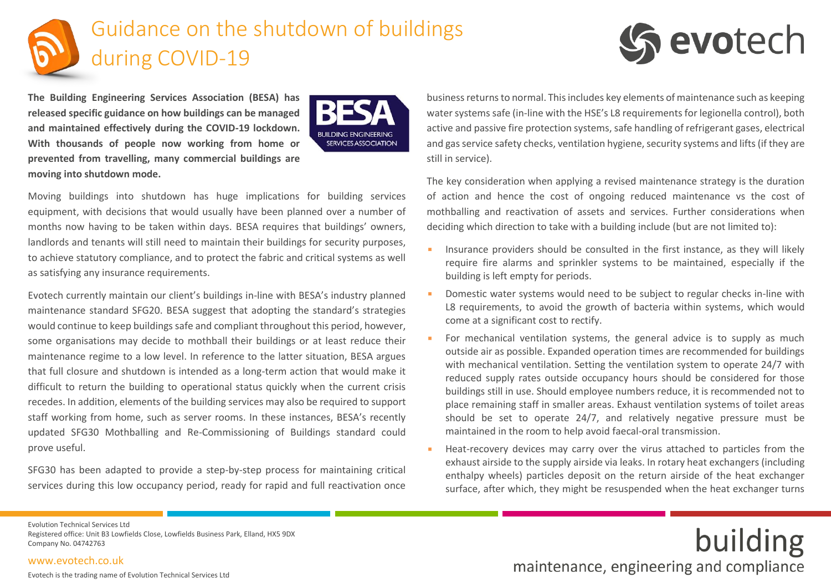

**The Building Engineering Services Association (BESA) has released specific guidance on how buildings can be managed and maintained effectively during the COVID-19 lockdown. With thousands of people now working from home or prevented from travelling, many commercial buildings are moving into shutdown mode.** 



Moving buildings into shutdown has huge implications for building services equipment, with decisions that would usually have been planned over a number of months now having to be taken within days. BESA requires that buildings' owners, landlords and tenants will still need to maintain their buildings for security purposes, to achieve statutory compliance, and to protect the fabric and critical systems as well as satisfying any insurance requirements.

Evotech currently maintain our client's buildings in-line with BESA's industry planned maintenance standard SFG20. BESA suggest that adopting the standard's strategies would continue to keep buildings safe and compliant throughout this period, however, some organisations may decide to mothball their buildings or at least reduce their maintenance regime to a low level. In reference to the latter situation, BESA argues that full closure and shutdown is intended as a long-term action that would make it difficult to return the building to operational status quickly when the current crisis recedes. In addition, elements of the building services may also be required to support staff working from home, such as server rooms. In these instances, BESA's recently updated SFG30 Mothballing and Re-Commissioning of Buildings standard could prove useful.

SFG30 has been adapted to provide a step-by-step process for maintaining critical services during this low occupancy period, ready for rapid and full reactivation once business returns to normal. This includes key elements of maintenance such as keeping water systems safe (in-line with the HSE's L8 requirements for legionella control), both active and passive fire protection systems, safe handling of refrigerant gases, electrical and gas service safety checks, ventilation hygiene, security systems and lifts (if they are still in service).

evotech

The key consideration when applying a revised maintenance strategy is the duration of action and hence the cost of ongoing reduced maintenance vs the cost of mothballing and reactivation of assets and services. Further considerations when deciding which direction to take with a building include (but are not limited to):

- **E** Insurance providers should be consulted in the first instance, as they will likely require fire alarms and sprinkler systems to be maintained, especially if the building is left empty for periods.
- Domestic water systems would need to be subject to regular checks in-line with L8 requirements, to avoid the growth of bacteria within systems, which would come at a significant cost to rectify.
- For mechanical ventilation systems, the general advice is to supply as much outside air as possible. Expanded operation times are recommended for buildings with mechanical ventilation. Setting the ventilation system to operate 24/7 with reduced supply rates outside occupancy hours should be considered for those buildings still in use. Should employee numbers reduce, it is recommended not to place remaining staff in smaller areas. Exhaust ventilation systems of toilet areas should be set to operate 24/7, and relatively negative pressure must be maintained in the room to help avoid faecal-oral transmission.
- **EXECOM** Heat-recovery devices may carry over the virus attached to particles from the exhaust airside to the supply airside via leaks. In rotary heat exchangers (including enthalpy wheels) particles deposit on the return airside of the heat exchanger surface, after which, they might be resuspended when the heat exchanger turns

Evolution Technical Services Ltd Registered office: Unit B3 Lowfields Close, Lowfields Business Park, Elland, HX5 9DX Company No. 04742763

#### [www.evotech.co.uk](http://www.evotech.co.uk/)

Evotech is the trading name of Evolution Technical Services Ltd

# building maintenance, engineering and compliance